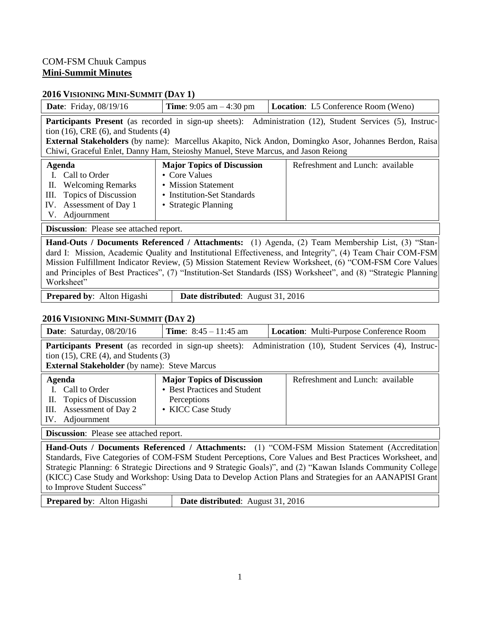### COM-FSM Chuuk Campus **Mini-Summit Minutes**

#### **2016 VISIONING MINI-SUMMIT (DAY 1)**

| <b>Date:</b> Friday, 08/19/16                                                                                                             | <b>Time:</b> 9:05 am $-$ 4:30 pm                                                                                                 | <b>Location:</b> L5 Conference Room (Weno)                                                                                                                                                                                       |
|-------------------------------------------------------------------------------------------------------------------------------------------|----------------------------------------------------------------------------------------------------------------------------------|----------------------------------------------------------------------------------------------------------------------------------------------------------------------------------------------------------------------------------|
| tion $(16)$ , CRE $(6)$ , and Students $(4)$<br>Chiwi, Graceful Enlet, Danny Ham, Steioshy Manuel, Steve Marcus, and Jason Reiong         |                                                                                                                                  | <b>Participants Present</b> (as recorded in sign-up sheets): Administration (12), Student Services (5), Instruc-<br><b>External Stakeholders</b> (by name): Marcellus Akapito, Nick Andon, Domingko Asor, Johannes Berdon, Raisa |
| Agenda<br>Call to Order<br><b>Welcoming Remarks</b><br>П.<br>Topics of Discussion<br>III.<br>Assessment of Day 1<br>IV.<br>V. Adjournment | <b>Major Topics of Discussion</b><br>• Core Values<br>• Mission Statement<br>• Institution-Set Standards<br>• Strategic Planning | Refreshment and Lunch: available                                                                                                                                                                                                 |
| <b>Discussion:</b> Please see attached report.                                                                                            |                                                                                                                                  |                                                                                                                                                                                                                                  |

**Hand-Outs / Documents Referenced / Attachments:** (1) Agenda, (2) Team Membership List, (3) "Standard I: Mission, Academic Quality and Institutional Effectiveness, and Integrity", (4) Team Chair COM-FSM Mission Fulfillment Indicator Review, (5) Mission Statement Review Worksheet, (6) "COM-FSM Core Values and Principles of Best Practices", (7) "Institution-Set Standards (ISS) Worksheet", and (8) "Strategic Planning Worksheet"

**Prepared by:** Alton Higashi **Date distributed:** August 31, 2016

#### **2016 VISIONING MINI-SUMMIT (DAY 2)**

| <b>Date:</b> Saturday, $08/20/16$                                                                           | <b>Time:</b> $8:45 - 11:45$ am                                                                        | <b>Location:</b> Multi-Purpose Conference Room                                                                   |
|-------------------------------------------------------------------------------------------------------------|-------------------------------------------------------------------------------------------------------|------------------------------------------------------------------------------------------------------------------|
| tion $(15)$ , CRE $(4)$ , and Students $(3)$<br><b>External Stakeholder</b> (by name): Steve Marcus         |                                                                                                       | <b>Participants Present</b> (as recorded in sign-up sheets): Administration (10), Student Services (4), Instruc- |
| Agenda<br>I. Call to Order<br>II. Topics of Discussion<br>Assessment of Day 2<br>III.<br>Adjournment<br>IV. | <b>Major Topics of Discussion</b><br>• Best Practices and Student<br>Perceptions<br>• KICC Case Study | Refreshment and Lunch: available                                                                                 |
| <b>Discussion:</b> Please see attached report.                                                              |                                                                                                       |                                                                                                                  |

**Hand-Outs / Documents Referenced / Attachments:** (1) "COM-FSM Mission Statement (Accreditation Standards, Five Categories of COM-FSM Student Perceptions, Core Values and Best Practices Worksheet, and Strategic Planning: 6 Strategic Directions and 9 Strategic Goals)", and (2) "Kawan Islands Community College (KICC) Case Study and Workshop: Using Data to Develop Action Plans and Strategies for an AANAPISI Grant to Improve Student Success"

**Prepared by:** Alton Higashi **Date distributed:** August 31, 2016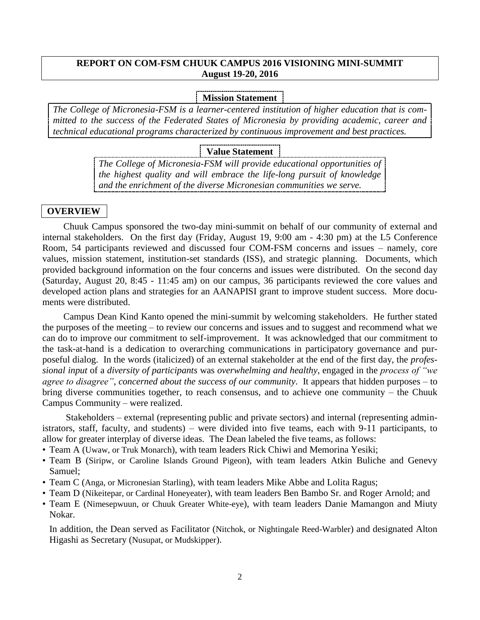#### **REPORT ON COM-FSM CHUUK CAMPUS 2016 VISIONING MINI-SUMMIT August 19-20, 2016**

#### **Mission Statement**

*The College of Micronesia-FSM is a learner-centered institution of higher education that is committed to the success of the Federated States of Micronesia by providing academic, career and technical educational programs characterized by continuous improvement and best practices.* 

#### **Value Statement**

*The College of Micronesia-FSM will provide educational opportunities of the highest quality and will embrace the life-long pursuit of knowledge and the enrichment of the diverse Micronesian communities we serve.* 

#### **OVERVIEW**

Chuuk Campus sponsored the two-day mini-summit on behalf of our community of external and internal stakeholders. On the first day (Friday, August 19, 9:00 am - 4:30 pm) at the L5 Conference Room, 54 participants reviewed and discussed four COM-FSM concerns and issues – namely, core values, mission statement, institution-set standards (ISS), and strategic planning. Documents, which provided background information on the four concerns and issues were distributed. On the second day (Saturday, August 20, 8:45 - 11:45 am) on our campus, 36 participants reviewed the core values and developed action plans and strategies for an AANAPISI grant to improve student success. More documents were distributed.

Campus Dean Kind Kanto opened the mini-summit by welcoming stakeholders. He further stated the purposes of the meeting – to review our concerns and issues and to suggest and recommend what we can do to improve our commitment to self-improvement. It was acknowledged that our commitment to the task-at-hand is a dedication to overarching communications in participatory governance and purposeful dialog. In the words (italicized) of an external stakeholder at the end of the first day, the *professional input* of a *diversity of participants* was *overwhelming and healthy*, engaged in the *process of "we agree to disagree"*, *concerned about the success of our community*. It appears that hidden purposes – to bring diverse communities together, to reach consensus, and to achieve one community – the Chuuk Campus Community – were realized.

Stakeholders – external (representing public and private sectors) and internal (representing administrators, staff, faculty, and students) – were divided into five teams, each with 9-11 participants, to allow for greater interplay of diverse ideas. The Dean labeled the five teams, as follows:

- Team A (Uwaw, or Truk Monarch), with team leaders Rick Chiwi and Memorina Yesiki;
- Team B (Siripw, or Caroline Islands Ground Pigeon), with team leaders Atkin Buliche and Genevy Samuel;
- Team C (Anga, or Micronesian Starling), with team leaders Mike Abbe and Lolita Ragus;
- Team D (Nikeitepar, or Cardinal Honeyeater), with team leaders Ben Bambo Sr. and Roger Arnold; and
- Team E (Nimesepwuun, or Chuuk Greater White-eye), with team leaders Danie Mamangon and Miuty Nokar.

In addition, the Dean served as Facilitator (Nitchok, or Nightingale Reed-Warbler) and designated Alton Higashi as Secretary (Nusupat, or Mudskipper).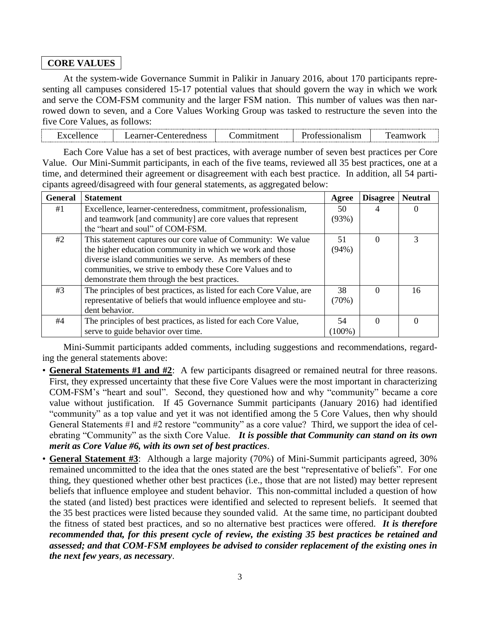# **CORE VALUES**

At the system-wide Governance Summit in Palikir in January 2016, about 170 participants representing all campuses considered 15-17 potential values that should govern the way in which we work and serve the COM-FSM community and the larger FSM nation. This number of values was then narrowed down to seven, and a Core Values Working Group was tasked to restructure the seven into the five Core Values, as follows:

Each Core Value has a set of best practices, with average number of seven best practices per Core Value. Our Mini-Summit participants, in each of the five teams, reviewed all 35 best practices, one at a time, and determined their agreement or disagreement with each best practice. In addition, all 54 participants agreed/disagreed with four general statements, as aggregated below:

| <b>General</b> | <b>Statement</b>                                                     | Agree     | <b>Disagree</b> | <b>Neutral</b> |
|----------------|----------------------------------------------------------------------|-----------|-----------------|----------------|
| #1             | Excellence, learner-centeredness, commitment, professionalism,       | 50        |                 |                |
|                | and teamwork [and community] are core values that represent          | (93%)     |                 |                |
|                | the "heart and soul" of COM-FSM.                                     |           |                 |                |
| #2             | This statement captures our core value of Community: We value        | 51        | 0               | 3              |
|                | the higher education community in which we work and those            | (94%)     |                 |                |
|                | diverse island communities we serve. As members of these             |           |                 |                |
|                | communities, we strive to embody these Core Values and to            |           |                 |                |
|                | demonstrate them through the best practices.                         |           |                 |                |
| #3             | The principles of best practices, as listed for each Core Value, are | 38        | $\Omega$        | 16             |
|                | representative of beliefs that would influence employee and stu-     | (70%)     |                 |                |
|                | dent behavior.                                                       |           |                 |                |
| #4             | The principles of best practices, as listed for each Core Value,     | 54        | $\Omega$        | $\Omega$       |
|                | serve to guide behavior over time.                                   | $(100\%)$ |                 |                |

Mini-Summit participants added comments, including suggestions and recommendations, regarding the general statements above:

- **General Statements #1 and #2**: A few participants disagreed or remained neutral for three reasons. First, they expressed uncertainty that these five Core Values were the most important in characterizing COM-FSM's "heart and soul". Second, they questioned how and why "community" became a core value without justification. If 45 Governance Summit participants (January 2016) had identified "community" as a top value and yet it was not identified among the 5 Core Values, then why should General Statements #1 and #2 restore "community" as a core value? Third, we support the idea of celebrating "Community" as the sixth Core Value. *It is possible that Community can stand on its own merit as Core Value #6, with its own set of best practices*.
- **General Statement #3**: Although a large majority (70%) of Mini-Summit participants agreed, 30% remained uncommitted to the idea that the ones stated are the best "representative of beliefs". For one thing, they questioned whether other best practices (i.e., those that are not listed) may better represent beliefs that influence employee and student behavior. This non-committal included a question of how the stated (and listed) best practices were identified and selected to represent beliefs. It seemed that the 35 best practices were listed because they sounded valid. At the same time, no participant doubted the fitness of stated best practices, and so no alternative best practices were offered. *It is therefore recommended that, for this present cycle of review, the existing 35 best practices be retained and assessed; and that COM-FSM employees be advised to consider replacement of the existing ones in the next few years, as necessary*.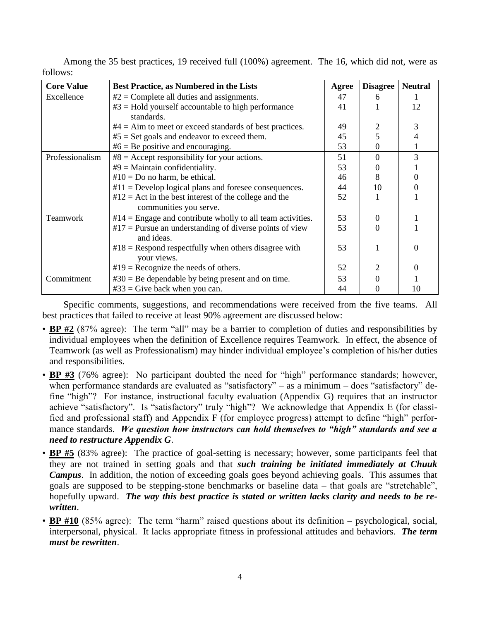| <b>Core Value</b> | <b>Best Practice, as Numbered in the Lists</b>                     | Agree | <b>Disagree</b> | <b>Neutral</b> |
|-------------------|--------------------------------------------------------------------|-------|-----------------|----------------|
| Excellence        | $#2 =$ Complete all duties and assignments.                        | 47    | 6               |                |
|                   | $#3 =$ Hold yourself accountable to high performance<br>standards. | 41    |                 | 12             |
|                   | $#4 =$ Aim to meet or exceed standards of best practices.          | 49    |                 | 3              |
|                   | $#5 = Set$ goals and endeavor to exceed them.                      | 45    |                 | 4              |
|                   | $#6 = Be$ positive and encouraging.                                | 53    | 0               |                |
| Professionalism   | $#8 =$ Accept responsibility for your actions.                     | 51    | 0               | 3              |
|                   | $#9$ = Maintain confidentiality.                                   | 53    |                 |                |
|                   | $#10 = Do$ no harm, be ethical.                                    | 46    | 8               | $\theta$       |
|                   | $#11 =$ Develop logical plans and foresee consequences.            | 44    | 10              | 0              |
|                   | $#12 =$ Act in the best interest of the college and the            | 52    |                 |                |
|                   | communities you serve.                                             |       |                 |                |
| <b>Teamwork</b>   | $#14$ = Engage and contribute wholly to all team activities.       | 53    | $\Omega$        |                |
|                   | $#17$ = Pursue an understanding of diverse points of view          | 53    |                 |                |
|                   | and ideas.                                                         |       |                 |                |
|                   | $#18$ = Respond respectfully when others disagree with             | 53    |                 | 0              |
|                   | your views.                                                        |       |                 |                |
|                   | $#19$ = Recognize the needs of others.                             | 52    | 2               | $\Omega$       |
| Commitment        | $#30 = Be$ dependable by being present and on time.                | 53    | 0               |                |
|                   | $#33 =$ Give back when you can.                                    | 44    |                 | 10             |

Among the 35 best practices, 19 received full (100%) agreement. The 16, which did not, were as follows:

Specific comments, suggestions, and recommendations were received from the five teams. All best practices that failed to receive at least 90% agreement are discussed below:

- **BP** #2 (87% agree): The term "all" may be a barrier to completion of duties and responsibilities by individual employees when the definition of Excellence requires Teamwork. In effect, the absence of Teamwork (as well as Professionalism) may hinder individual employee's completion of his/her duties and responsibilities.
- **BP #3** (76% agree): No participant doubted the need for "high" performance standards; however, when performance standards are evaluated as "satisfactory" – as a minimum – does "satisfactory" define "high"? For instance, instructional faculty evaluation (Appendix G) requires that an instructor achieve "satisfactory". Is "satisfactory" truly "high"? We acknowledge that Appendix E (for classified and professional staff) and Appendix F (for employee progress) attempt to define "high" performance standards. *We question how instructors can hold themselves to "high" standards and see a need to restructure Appendix G*.
- **BP #5** (83% agree): The practice of goal-setting is necessary; however, some participants feel that they are not trained in setting goals and that *such training be initiated immediately at Chuuk Campus*. In addition, the notion of exceeding goals goes beyond achieving goals. This assumes that goals are supposed to be stepping-stone benchmarks or baseline data – that goals are "stretchable", hopefully upward. *The way this best practice is stated or written lacks clarity and needs to be rewritten*.
- **BP** #10 (85% agree): The term "harm" raised questions about its definition psychological, social, interpersonal, physical. It lacks appropriate fitness in professional attitudes and behaviors. *The term must be rewritten*.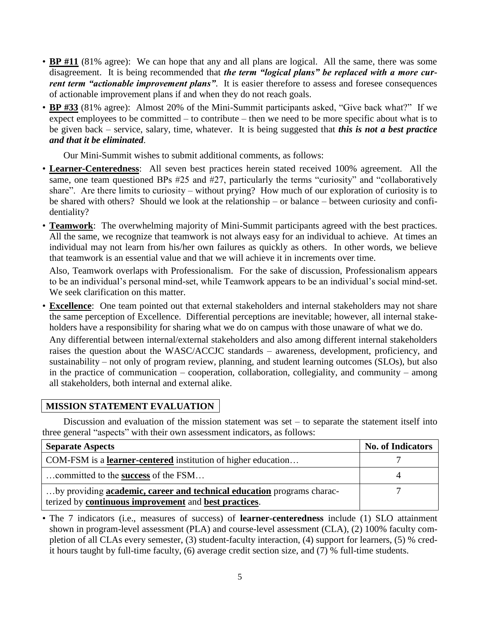- **BP** #11 (81% agree): We can hope that any and all plans are logical. All the same, there was some disagreement. It is being recommended that *the term "logical plans" be replaced with a more current term "actionable improvement plans"*. It is easier therefore to assess and foresee consequences of actionable improvement plans if and when they do not reach goals.
- **BP #33** (81% agree): Almost 20% of the Mini-Summit participants asked, "Give back what?" If we expect employees to be committed – to contribute – then we need to be more specific about what is to be given back – service, salary, time, whatever. It is being suggested that *this is not a best practice and that it be eliminated*.

Our Mini-Summit wishes to submit additional comments, as follows:

- **Learner-Centeredness**: All seven best practices herein stated received 100% agreement. All the same, one team questioned BPs #25 and #27, particularly the terms "curiosity" and "collaboratively share". Are there limits to curiosity – without prying? How much of our exploration of curiosity is to be shared with others? Should we look at the relationship – or balance – between curiosity and confidentiality?
- **Teamwork**: The overwhelming majority of Mini-Summit participants agreed with the best practices. All the same, we recognize that teamwork is not always easy for an individual to achieve. At times an individual may not learn from his/her own failures as quickly as others. In other words, we believe that teamwork is an essential value and that we will achieve it in increments over time.

Also, Teamwork overlaps with Professionalism. For the sake of discussion, Professionalism appears to be an individual's personal mind-set, while Teamwork appears to be an individual's social mind-set. We seek clarification on this matter.

• **Excellence**: One team pointed out that external stakeholders and internal stakeholders may not share the same perception of Excellence. Differential perceptions are inevitable; however, all internal stakeholders have a responsibility for sharing what we do on campus with those unaware of what we do.

Any differential between internal/external stakeholders and also among different internal stakeholders raises the question about the WASC/ACCJC standards – awareness, development, proficiency, and sustainability – not only of program review, planning, and student learning outcomes (SLOs), but also in the practice of communication – cooperation, collaboration, collegiality, and community – among all stakeholders, both internal and external alike.

# **MISSION STATEMENT EVALUATION**

Discussion and evaluation of the mission statement was set  $-$  to separate the statement itself into three general "aspects" with their own assessment indicators, as follows:

| <b>Separate Aspects</b>                                                       | <b>No. of Indicators</b> |
|-------------------------------------------------------------------------------|--------------------------|
| COM-FSM is a <b>learner-centered</b> institution of higher education          |                          |
| committed to the success of the FSM                                           |                          |
| by providing <b>academic, career and technical education</b> programs charac- |                          |
| terized by continuous improvement and best practices.                         |                          |

• The 7 indicators (i.e., measures of success) of **learner-centeredness** include (1) SLO attainment shown in program-level assessment (PLA) and course-level assessment (CLA), (2) 100% faculty completion of all CLAs every semester, (3) student-faculty interaction, (4) support for learners, (5) % credit hours taught by full-time faculty, (6) average credit section size, and (7) % full-time students.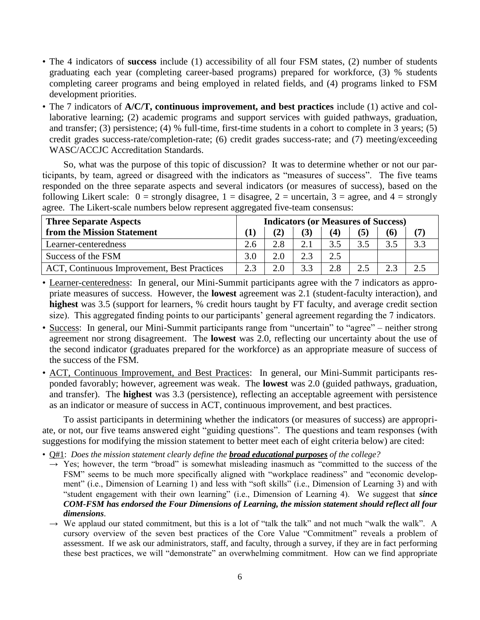- The 4 indicators of **success** include (1) accessibility of all four FSM states, (2) number of students graduating each year (completing career-based programs) prepared for workforce, (3) % students completing career programs and being employed in related fields, and (4) programs linked to FSM development priorities.
- The 7 indicators of **A/C/T, continuous improvement, and best practices** include (1) active and collaborative learning; (2) academic programs and support services with guided pathways, graduation, and transfer; (3) persistence; (4) % full-time, first-time students in a cohort to complete in 3 years; (5) credit grades success-rate/completion-rate; (6) credit grades success-rate; and (7) meeting/exceeding WASC/ACCJC Accreditation Standards.

So, what was the purpose of this topic of discussion? It was to determine whether or not our participants, by team, agreed or disagreed with the indicators as "measures of success". The five teams responded on the three separate aspects and several indicators (or measures of success), based on the following Likert scale:  $0 =$  strongly disagree,  $1 =$  disagree,  $2 =$  uncertain,  $3 =$  agree, and  $4 =$  strongly agree. The Likert-scale numbers below represent aggregated five-team consensus:

| <b>Three Separate Aspects</b>               | <b>Indicators (or Measures of Success)</b> |     |     |     |     |     |     |
|---------------------------------------------|--------------------------------------------|-----|-----|-----|-----|-----|-----|
| from the Mission Statement                  |                                            |     |     | (4) | (5) | (6) |     |
| Learner-centeredness                        | 2.6                                        | 2.8 |     |     | 3.5 | 3.5 | 3.3 |
| Success of the FSM                          | 3.0                                        | 2.0 | 2.3 |     |     |     |     |
| ACT, Continuous Improvement, Best Practices | 2.3                                        | 2.0 |     | 2.8 |     | 2.3 |     |

• Learner-centeredness: In general, our Mini-Summit participants agree with the 7 indicators as appropriate measures of success. However, the **lowest** agreement was 2.1 (student-faculty interaction), and **highest** was 3.5 (support for learners, % credit hours taught by FT faculty, and average credit section size). This aggregated finding points to our participants' general agreement regarding the 7 indicators.

- Success: In general, our Mini-Summit participants range from "uncertain" to "agree" neither strong agreement nor strong disagreement. The **lowest** was 2.0, reflecting our uncertainty about the use of the second indicator (graduates prepared for the workforce) as an appropriate measure of success of the success of the FSM.
- ACT, Continuous Improvement, and Best Practices: In general, our Mini-Summit participants responded favorably; however, agreement was weak. The **lowest** was 2.0 (guided pathways, graduation, and transfer). The **highest** was 3.3 (persistence), reflecting an acceptable agreement with persistence as an indicator or measure of success in ACT, continuous improvement, and best practices.

To assist participants in determining whether the indicators (or measures of success) are appropriate, or not, our five teams answered eight "guiding questions". The questions and team responses (with suggestions for modifying the mission statement to better meet each of eight criteria below) are cited:

• Q#1: *Does the mission statement clearly define the broad educational purposes of the college?*

- $\rightarrow$  Yes; however, the term "broad" is somewhat misleading inasmuch as "committed to the success of the FSM" seems to be much more specifically aligned with "workplace readiness" and "economic development" (i.e., Dimension of Learning 1) and less with "soft skills" (i.e., Dimension of Learning 3) and with "student engagement with their own learning" (i.e., Dimension of Learning 4). We suggest that *since COM-FSM has endorsed the Four Dimensions of Learning, the mission statement should reflect all four dimensions*.
- $\rightarrow$  We applaud our stated commitment, but this is a lot of "talk the talk" and not much "walk the walk". A cursory overview of the seven best practices of the Core Value "Commitment" reveals a problem of assessment. If we ask our administrators, staff, and faculty, through a survey, if they are in fact performing these best practices, we will "demonstrate" an overwhelming commitment. How can we find appropriate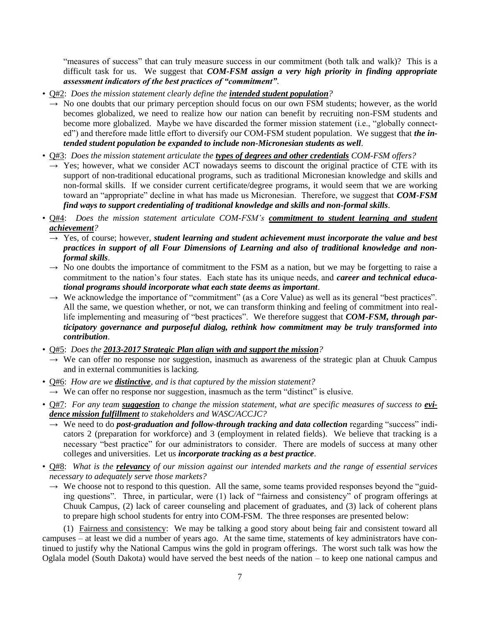"measures of success" that can truly measure success in our commitment (both talk and walk)? This is a difficult task for us. We suggest that *COM-FSM assign a very high priority in finding appropriate assessment indicators of the best practices of "commitment"*.

- Q#2: *Does the mission statement clearly define the intended student population?*
	- $\rightarrow$  No one doubts that our primary perception should focus on our own FSM students; however, as the world becomes globalized, we need to realize how our nation can benefit by recruiting non-FSM students and become more globalized. Maybe we have discarded the former mission statement (i.e., "globally connected") and therefore made little effort to diversify our COM-FSM student population. We suggest that *the intended student population be expanded to include non-Micronesian students as well*.
- Q#3: *Does the mission statement articulate the types of degrees and other credentials COM-FSM offers?*
	- $\rightarrow$  Yes; however, what we consider ACT nowadays seems to discount the original practice of CTE with its support of non-traditional educational programs, such as traditional Micronesian knowledge and skills and non-formal skills. If we consider current certificate/degree programs, it would seem that we are working toward an "appropriate" decline in what has made us Micronesian. Therefore, we suggest that *COM-FSM find ways to support credentialing of traditional knowledge and skills and non-formal skills*.
- Q#4: *Does the mission statement articulate COM-FSM's commitment to student learning and student achievement?*
	- $\rightarrow$  Yes, of course; however, *student learning and student achievement must incorporate the value and best practices in support of all Four Dimensions of Learning and also of traditional knowledge and nonformal skills*.
	- $\rightarrow$  No one doubts the importance of commitment to the FSM as a nation, but we may be forgetting to raise a commitment to the nation's four states. Each state has its unique needs, and *career and technical educational programs should incorporate what each state deems as important*.
	- $\rightarrow$  We acknowledge the importance of "commitment" (as a Core Value) as well as its general "best practices". All the same, we question whether, or not, we can transform thinking and feeling of commitment into reallife implementing and measuring of "best practices". We therefore suggest that *COM-FSM, through participatory governance and purposeful dialog, rethink how commitment may be truly transformed into contribution*.

• Q#5: *Does the 2013-2017 Strategic Plan align with and support the mission?*

- $\rightarrow$  We can offer no response nor suggestion, inasmuch as awareness of the strategic plan at Chuuk Campus and in external communities is lacking.
- Q#6: *How are we distinctive, and is that captured by the mission statement?*
- $\rightarrow$  We can offer no response nor suggestion, inasmuch as the term "distinct" is elusive.
- Q#7: For any team *suggestion* to change the mission statement, what are specific measures of success to *evidence mission fulfillment to stakeholders and WASC/ACCJC?*
	- → We need to do *post-graduation and follow-through tracking and data collection* regarding "success" indicators 2 (preparation for workforce) and 3 (employment in related fields). We believe that tracking is a necessary "best practice" for our administrators to consider. There are models of success at many other colleges and universities. Let us *incorporate tracking as a best practice*.
- Q#8: *What is the relevancy of our mission against our intended markets and the range of essential services necessary to adequately serve those markets?*
	- $\rightarrow$  We choose not to respond to this question. All the same, some teams provided responses beyond the "guiding questions". Three, in particular, were (1) lack of "fairness and consistency" of program offerings at Chuuk Campus, (2) lack of career counseling and placement of graduates, and (3) lack of coherent plans to prepare high school students for entry into COM-FSM. The three responses are presented below:

(1) Fairness and consistency: We may be talking a good story about being fair and consistent toward all campuses – at least we did a number of years ago. At the same time, statements of key administrators have continued to justify why the National Campus wins the gold in program offerings. The worst such talk was how the Oglala model (South Dakota) would have served the best needs of the nation – to keep one national campus and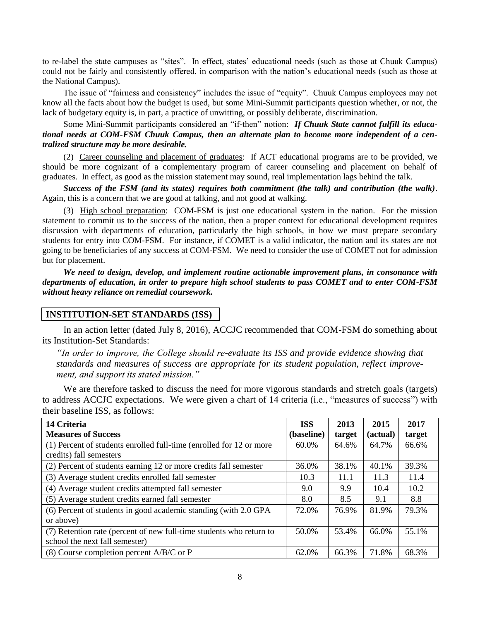to re-label the state campuses as "sites". In effect, states' educational needs (such as those at Chuuk Campus) could not be fairly and consistently offered, in comparison with the nation's educational needs (such as those at the National Campus).

The issue of "fairness and consistency" includes the issue of "equity". Chuuk Campus employees may not know all the facts about how the budget is used, but some Mini-Summit participants question whether, or not, the lack of budgetary equity is, in part, a practice of unwitting, or possibly deliberate, discrimination.

Some Mini-Summit participants considered an "if-then" notion: *If Chuuk State cannot fulfill its educational needs at COM-FSM Chuuk Campus, then an alternate plan to become more independent of a centralized structure may be more desirable.* 

(2) Career counseling and placement of graduates: If ACT educational programs are to be provided, we should be more cognizant of a complementary program of career counseling and placement on behalf of graduates. In effect, as good as the mission statement may sound, real implementation lags behind the talk.

*Success of the FSM (and its states) requires both commitment (the talk) and contribution (the walk)*. Again, this is a concern that we are good at talking, and not good at walking.

(3) High school preparation: COM-FSM is just one educational system in the nation. For the mission statement to commit us to the success of the nation, then a proper context for educational development requires discussion with departments of education, particularly the high schools, in how we must prepare secondary students for entry into COM-FSM. For instance, if COMET is a valid indicator, the nation and its states are not going to be beneficiaries of any success at COM-FSM. We need to consider the use of COMET not for admission but for placement.

*We need to design, develop, and implement routine actionable improvement plans, in consonance with departments of education, in order to prepare high school students to pass COMET and to enter COM-FSM without heavy reliance on remedial coursework.* 

#### **INSTITUTION-SET STANDARDS (ISS)**

In an action letter (dated July 8, 2016), ACCJC recommended that COM-FSM do something about its Institution-Set Standards:

*"In order to improve, the College should re-evaluate its ISS and provide evidence showing that standards and measures of success are appropriate for its student population, reflect improvement, and support its stated mission."* 

We are therefore tasked to discuss the need for more vigorous standards and stretch goals (targets) to address ACCJC expectations. We were given a chart of 14 criteria (i.e., "measures of success") with their baseline ISS, as follows:

| 14 Criteria                                                                                           | <b>ISS</b> | 2013   | 2015     | 2017   |
|-------------------------------------------------------------------------------------------------------|------------|--------|----------|--------|
| <b>Measures of Success</b>                                                                            | (baseline) | target | (actual) | target |
| (1) Percent of students enrolled full-time (enrolled for 12 or more<br>credits) fall semesters        | 60.0%      | 64.6%  | 64.7%    | 66.6%  |
|                                                                                                       |            |        |          |        |
| (2) Percent of students earning 12 or more credits fall semester                                      | 36.0%      | 38.1%  | 40.1%    | 39.3%  |
| (3) Average student credits enrolled fall semester                                                    | 10.3       | 11.1   | 11.3     | 11.4   |
| (4) Average student credits attempted fall semester                                                   | 9.0        | 9.9    | 10.4     | 10.2   |
| (5) Average student credits earned fall semester                                                      | 8.0        | 8.5    | 9.1      | 8.8    |
| (6) Percent of students in good academic standing (with 2.0 GPA<br>or above)                          | 72.0%      | 76.9%  | 81.9%    | 79.3%  |
| (7) Retention rate (percent of new full-time students who return to<br>school the next fall semester) | 50.0%      | 53.4%  | 66.0%    | 55.1%  |
| (8) Course completion percent $A/B/C$ or P                                                            | 62.0%      | 66.3%  | 71.8%    | 68.3%  |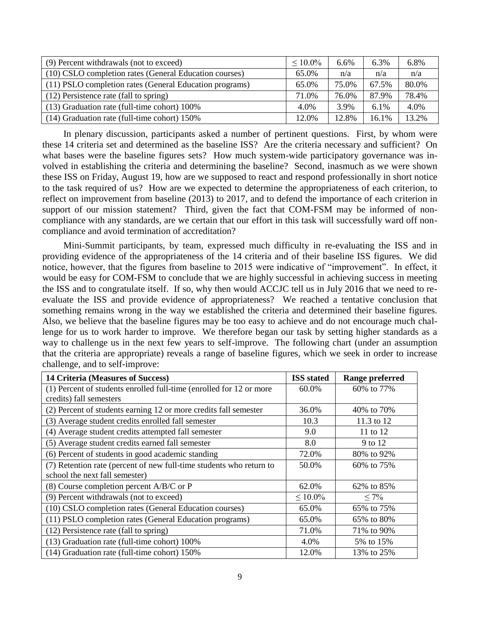| (9) Percent withdrawals (not to exceed)                 | $\leq 10.0\%$ | 6.6%  | 6.3%    | 6.8%  |
|---------------------------------------------------------|---------------|-------|---------|-------|
| (10) CSLO completion rates (General Education courses)  | 65.0%         | n/a   | n/a     | n/a   |
| (11) PSLO completion rates (General Education programs) | 65.0%         | 75.0% | 67.5%   | 80.0% |
| (12) Persistence rate (fall to spring)                  | 71.0%         | 76.0% | 87.9%   | 78.4% |
| (13) Graduation rate (full-time cohort) 100%            | 4.0%          | 3.9%  | $6.1\%$ | 4.0%  |
| (14) Graduation rate (full-time cohort) 150%            | 12.0%         | 12.8% | 16.1%   | 13.2% |

In plenary discussion, participants asked a number of pertinent questions. First, by whom were these 14 criteria set and determined as the baseline ISS? Are the criteria necessary and sufficient? On what bases were the baseline figures sets? How much system-wide participatory governance was involved in establishing the criteria and determining the baseline? Second, inasmuch as we were shown these ISS on Friday, August 19, how are we supposed to react and respond professionally in short notice to the task required of us? How are we expected to determine the appropriateness of each criterion, to reflect on improvement from baseline (2013) to 2017, and to defend the importance of each criterion in support of our mission statement? Third, given the fact that COM-FSM may be informed of noncompliance with any standards, are we certain that our effort in this task will successfully ward off noncompliance and avoid termination of accreditation?

Mini-Summit participants, by team, expressed much difficulty in re-evaluating the ISS and in providing evidence of the appropriateness of the 14 criteria and of their baseline ISS figures. We did notice, however, that the figures from baseline to 2015 were indicative of "improvement". In effect, it would be easy for COM-FSM to conclude that we are highly successful in achieving success in meeting the ISS and to congratulate itself. If so, why then would ACCJC tell us in July 2016 that we need to reevaluate the ISS and provide evidence of appropriateness? We reached a tentative conclusion that something remains wrong in the way we established the criteria and determined their baseline figures. Also, we believe that the baseline figures may be too easy to achieve and do not encourage much challenge for us to work harder to improve. We therefore began our task by setting higher standards as a way to challenge us in the next few years to self-improve. The following chart (under an assumption that the criteria are appropriate) reveals a range of baseline figures, which we seek in order to increase challenge, and to self-improve:

| <b>14 Criteria (Measures of Success)</b>                            | <b>ISS</b> stated | <b>Range preferred</b> |
|---------------------------------------------------------------------|-------------------|------------------------|
| (1) Percent of students enrolled full-time (enrolled for 12 or more | 60.0%             | 60\% to 77\%           |
| credits) fall semesters                                             |                   |                        |
| (2) Percent of students earning 12 or more credits fall semester    | 36.0%             | 40\% to 70\%           |
| (3) Average student credits enrolled fall semester                  | 10.3              | 11.3 to 12             |
| (4) Average student credits attempted fall semester                 | 9.0               | 11 to 12               |
| (5) Average student credits earned fall semester                    | 8.0               | 9 to 12                |
| (6) Percent of students in good academic standing                   | 72.0%             | 80% to 92%             |
| (7) Retention rate (percent of new full-time students who return to | 50.0%             | 60% to 75%             |
| school the next fall semester)                                      |                   |                        |
| (8) Course completion percent $A/B/C$ or P                          | 62.0%             | 62\% to 85\%           |
| (9) Percent withdrawals (not to exceed)                             | $\leq 10.0\%$     | $\leq 7\%$             |
| (10) CSLO completion rates (General Education courses)              | 65.0%             | 65% to 75%             |
| (11) PSLO completion rates (General Education programs)             | 65.0%             | 65% to 80%             |
| (12) Persistence rate (fall to spring)                              | 71.0%             | 71% to 90%             |
| (13) Graduation rate (full-time cohort) 100%                        | 4.0%              | 5% to 15%              |
| (14) Graduation rate (full-time cohort) 150%                        | 12.0%             | 13% to 25%             |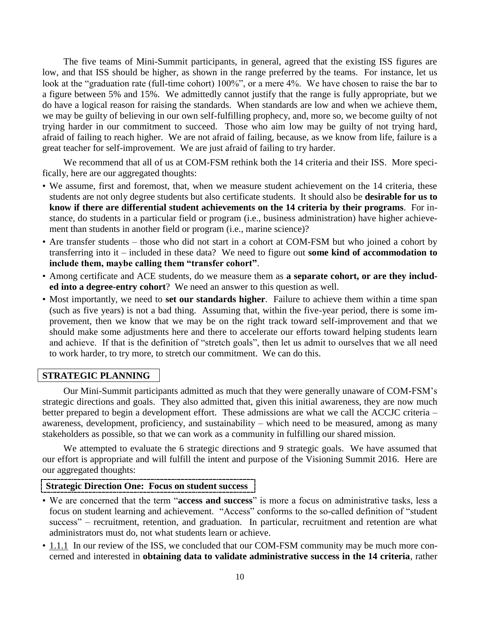The five teams of Mini-Summit participants, in general, agreed that the existing ISS figures are low, and that ISS should be higher, as shown in the range preferred by the teams. For instance, let us look at the "graduation rate (full-time cohort) 100%", or a mere 4%. We have chosen to raise the bar to a figure between 5% and 15%. We admittedly cannot justify that the range is fully appropriate, but we do have a logical reason for raising the standards. When standards are low and when we achieve them, we may be guilty of believing in our own self-fulfilling prophecy, and, more so, we become guilty of not trying harder in our commitment to succeed. Those who aim low may be guilty of not trying hard, afraid of failing to reach higher. We are not afraid of failing, because, as we know from life, failure is a great teacher for self-improvement. We are just afraid of failing to try harder.

We recommend that all of us at COM-FSM rethink both the 14 criteria and their ISS. More specifically, here are our aggregated thoughts:

- We assume, first and foremost, that, when we measure student achievement on the 14 criteria, these students are not only degree students but also certificate students. It should also be **desirable for us to know if there are differential student achievements on the 14 criteria by their programs**. For instance, do students in a particular field or program (i.e., business administration) have higher achievement than students in another field or program (i.e., marine science)?
- Are transfer students those who did not start in a cohort at COM-FSM but who joined a cohort by transferring into it – included in these data? We need to figure out **some kind of accommodation to include them, maybe calling them "transfer cohort"**.
- Among certificate and ACE students, do we measure them as **a separate cohort, or are they included into a degree-entry cohort**? We need an answer to this question as well.
- Most importantly, we need to **set our standards higher**. Failure to achieve them within a time span (such as five years) is not a bad thing. Assuming that, within the five-year period, there is some improvement, then we know that we may be on the right track toward self-improvement and that we should make some adjustments here and there to accelerate our efforts toward helping students learn and achieve. If that is the definition of "stretch goals", then let us admit to ourselves that we all need to work harder, to try more, to stretch our commitment. We can do this.

#### **STRATEGIC PLANNING**

Our Mini-Summit participants admitted as much that they were generally unaware of COM-FSM's strategic directions and goals. They also admitted that, given this initial awareness, they are now much better prepared to begin a development effort. These admissions are what we call the ACCJC criteria – awareness, development, proficiency, and sustainability – which need to be measured, among as many stakeholders as possible, so that we can work as a community in fulfilling our shared mission.

We attempted to evaluate the 6 strategic directions and 9 strategic goals. We have assumed that our effort is appropriate and will fulfill the intent and purpose of the Visioning Summit 2016. Here are our aggregated thoughts:

#### **Strategic Direction One: Focus on student success**

- We are concerned that the term "**access and success**" is more a focus on administrative tasks, less a focus on student learning and achievement. "Access" conforms to the so-called definition of "student success" – recruitment, retention, and graduation. In particular, recruitment and retention are what administrators must do, not what students learn or achieve.
- 1.1.1 In our review of the ISS, we concluded that our COM-FSM community may be much more concerned and interested in **obtaining data to validate administrative success in the 14 criteria**, rather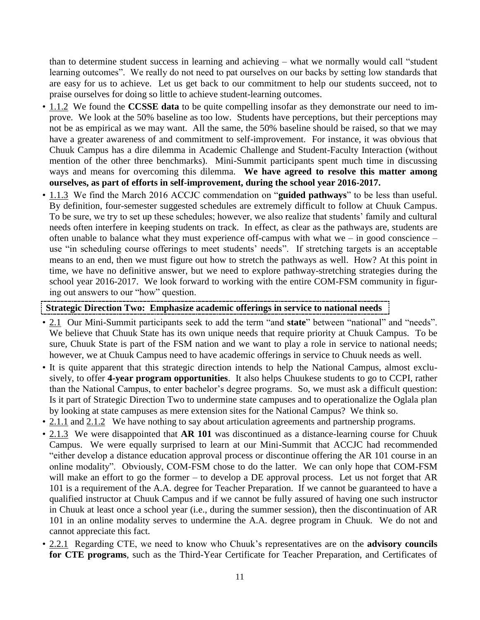than to determine student success in learning and achieving – what we normally would call "student learning outcomes". We really do not need to pat ourselves on our backs by setting low standards that are easy for us to achieve. Let us get back to our commitment to help our students succeed, not to praise ourselves for doing so little to achieve student-learning outcomes.

- 1.1.2 We found the **CCSSE data** to be quite compelling insofar as they demonstrate our need to improve. We look at the 50% baseline as too low. Students have perceptions, but their perceptions may not be as empirical as we may want. All the same, the 50% baseline should be raised, so that we may have a greater awareness of and commitment to self-improvement. For instance, it was obvious that Chuuk Campus has a dire dilemma in Academic Challenge and Student-Faculty Interaction (without mention of the other three benchmarks). Mini-Summit participants spent much time in discussing ways and means for overcoming this dilemma. **We have agreed to resolve this matter among ourselves, as part of efforts in self-improvement, during the school year 2016-2017.**
- 1.1.3 We find the March 2016 ACCJC commendation on "**guided pathways**" to be less than useful. By definition, four-semester suggested schedules are extremely difficult to follow at Chuuk Campus. To be sure, we try to set up these schedules; however, we also realize that students' family and cultural needs often interfere in keeping students on track. In effect, as clear as the pathways are, students are often unable to balance what they must experience off-campus with what we – in good conscience – use "in scheduling course offerings to meet students' needs". If stretching targets is an acceptable means to an end, then we must figure out how to stretch the pathways as well. How? At this point in time, we have no definitive answer, but we need to explore pathway-stretching strategies during the school year 2016-2017. We look forward to working with the entire COM-FSM community in figuring out answers to our "how" question.

#### **Strategic Direction Two: Emphasize academic offerings in service to national needs**

- 2.1 Our Mini-Summit participants seek to add the term "and **state**" between "national" and "needs". We believe that Chuuk State has its own unique needs that require priority at Chuuk Campus. To be sure, Chuuk State is part of the FSM nation and we want to play a role in service to national needs; however, we at Chuuk Campus need to have academic offerings in service to Chuuk needs as well.
- It is quite apparent that this strategic direction intends to help the National Campus, almost exclusively, to offer **4-year program opportunities**. It also helps Chuukese students to go to CCPI, rather than the National Campus, to enter bachelor's degree programs. So, we must ask a difficult question: Is it part of Strategic Direction Two to undermine state campuses and to operationalize the Oglala plan by looking at state campuses as mere extension sites for the National Campus? We think so.
- 2.1.1 and 2.1.2 We have nothing to say about articulation agreements and partnership programs.
- 2.1.3 We were disappointed that **AR 101** was discontinued as a distance-learning course for Chuuk Campus. We were equally surprised to learn at our Mini-Summit that ACCJC had recommended "either develop a distance education approval process or discontinue offering the AR 101 course in an online modality". Obviously, COM-FSM chose to do the latter. We can only hope that COM-FSM will make an effort to go the former – to develop a DE approval process. Let us not forget that AR 101 is a requirement of the A.A. degree for Teacher Preparation. If we cannot be guaranteed to have a qualified instructor at Chuuk Campus and if we cannot be fully assured of having one such instructor in Chuuk at least once a school year (i.e., during the summer session), then the discontinuation of AR 101 in an online modality serves to undermine the A.A. degree program in Chuuk. We do not and cannot appreciate this fact.
- 2.2.1 Regarding CTE, we need to know who Chuuk's representatives are on the **advisory councils for CTE programs**, such as the Third-Year Certificate for Teacher Preparation, and Certificates of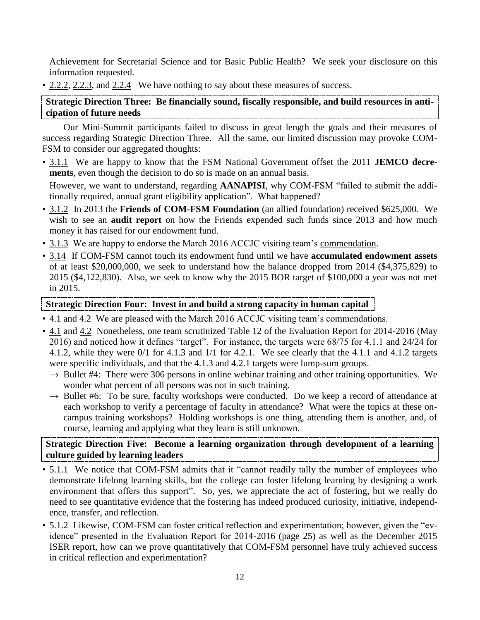Achievement for Secretarial Science and for Basic Public Health? We seek your disclosure on this information requested.

• 2.2.2, 2.2.3, and 2.2.4 We have nothing to say about these measures of success.

**Strategic Direction Three: Be financially sound, fiscally responsible, and build resources in anticipation of future needs**

Our Mini-Summit participants failed to discuss in great length the goals and their measures of success regarding Strategic Direction Three. All the same, our limited discussion may provoke COM-FSM to consider our aggregated thoughts:

• 3.1.1 We are happy to know that the FSM National Government offset the 2011 **JEMCO decrements**, even though the decision to do so is made on an annual basis.

However, we want to understand, regarding **AANAPISI**, why COM-FSM "failed to submit the additionally required, annual grant eligibility application". What happened?

- 3.1.2 In 2013 the **Friends of COM-FSM Foundation** (an allied foundation) received \$625,000. We wish to see an **audit report** on how the Friends expended such funds since 2013 and how much money it has raised for our endowment fund.
- 3.1.3 We are happy to endorse the March 2016 ACCJC visiting team's commendation.
- 3.14 If COM-FSM cannot touch its endowment fund until we have **accumulated endowment assets** of at least \$20,000,000, we seek to understand how the balance dropped from 2014 (\$4,375,829) to 2015 (\$4,122,830). Also, we seek to know why the 2015 BOR target of \$100,000 a year was not met in 2015.

# **Strategic Direction Four: Invest in and build a strong capacity in human capital**

- 4.1 and 4.2 We are pleased with the March 2016 ACCJC visiting team's commendations.
- 4.1 and 4.2 Nonetheless, one team scrutinized Table 12 of the Evaluation Report for 2014-2016 (May 2016) and noticed how it defines "target". For instance, the targets were 68/75 for 4.1.1 and 24/24 for 4.1.2, while they were 0/1 for 4.1.3 and 1/1 for 4.2.1. We see clearly that the 4.1.1 and 4.1.2 targets were specific individuals, and that the 4.1.3 and 4.2.1 targets were lump-sum groups.
	- $\rightarrow$  Bullet #4: There were 306 persons in online webinar training and other training opportunities. We wonder what percent of all persons was not in such training.
	- $\rightarrow$  Bullet #6: To be sure, faculty workshops were conducted. Do we keep a record of attendance at each workshop to verify a percentage of faculty in attendance? What were the topics at these oncampus training workshops? Holding workshops is one thing, attending them is another, and, of course, learning and applying what they learn is still unknown.

# **Strategic Direction Five: Become a learning organization through development of a learning culture guided by learning leaders**

- 5.1.1 We notice that COM-FSM admits that it "cannot readily tally the number of employees who demonstrate lifelong learning skills, but the college can foster lifelong learning by designing a work environment that offers this support". So, yes, we appreciate the act of fostering, but we really do need to see quantitative evidence that the fostering has indeed produced curiosity, initiative, independence, transfer, and reflection.
- 5.1.2 Likewise, COM-FSM can foster critical reflection and experimentation; however, given the "evidence" presented in the Evaluation Report for 2014-2016 (page 25) as well as the December 2015 ISER report, how can we prove quantitatively that COM-FSM personnel have truly achieved success in critical reflection and experimentation?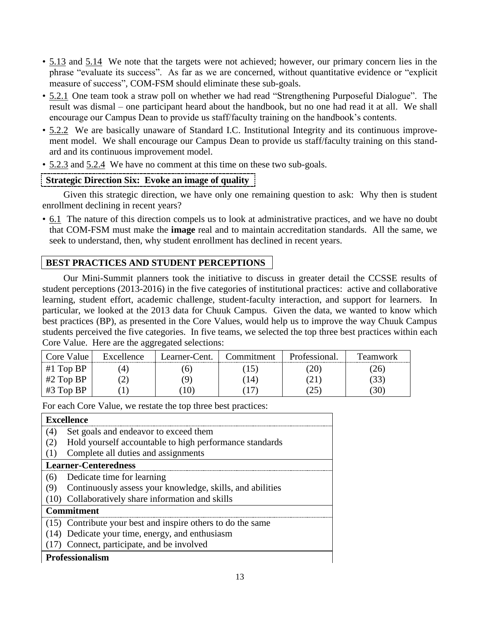- 5.13 and 5.14 We note that the targets were not achieved; however, our primary concern lies in the phrase "evaluate its success". As far as we are concerned, without quantitative evidence or "explicit measure of success", COM-FSM should eliminate these sub-goals.
- 5.2.1 One team took a straw poll on whether we had read "Strengthening Purposeful Dialogue". The result was dismal – one participant heard about the handbook, but no one had read it at all. We shall encourage our Campus Dean to provide us staff/faculty training on the handbook's contents.
- 5.2.2 We are basically unaware of Standard I.C. Institutional Integrity and its continuous improvement model. We shall encourage our Campus Dean to provide us staff/faculty training on this standard and its continuous improvement model.
- 5.2.3 and 5.2.4 We have no comment at this time on these two sub-goals.

# **Strategic Direction Six: Evoke an image of quality**

Given this strategic direction, we have only one remaining question to ask: Why then is student enrollment declining in recent years?

• 6.1 The nature of this direction compels us to look at administrative practices, and we have no doubt that COM-FSM must make the **image** real and to maintain accreditation standards. All the same, we seek to understand, then, why student enrollment has declined in recent years.

# **BEST PRACTICES AND STUDENT PERCEPTIONS**

Our Mini-Summit planners took the initiative to discuss in greater detail the CCSSE results of student perceptions (2013-2016) in the five categories of institutional practices: active and collaborative learning, student effort, academic challenge, student-faculty interaction, and support for learners. In particular, we looked at the 2013 data for Chuuk Campus. Given the data, we wanted to know which best practices (BP), as presented in the Core Values, would help us to improve the way Chuuk Campus students perceived the five categories. In five teams, we selected the top three best practices within each Core Value. Here are the aggregated selections:

| Core Value  | Excellence | Learner-Cent. | Commitment.  | Professional. | Feamwork     |
|-------------|------------|---------------|--------------|---------------|--------------|
| #1 Top $BP$ |            |               | $\mathsf{L}$ |               | $26^{\circ}$ |
| #2 Top $BP$ |            |               | $14^{\circ}$ | $\angle$ 1    | 33           |
| $#3$ Top BP |            |               |              | بەي           | 30           |

For each Core Value, we restate the top three best practices:

| <b>Excellence</b>                                                |
|------------------------------------------------------------------|
| Set goals and endeavor to exceed them<br>(4)                     |
| Hold yourself accountable to high performance standards<br>(2)   |
| Complete all duties and assignments<br>(1)                       |
| <b>Learner-Centeredness</b>                                      |
| Dedicate time for learning<br>(6)                                |
| Continuously assess your knowledge, skills, and abilities<br>(9) |
| (10) Collaboratively share information and skills                |
| <b>Commitment</b>                                                |
| (15) Contribute your best and inspire others to do the same      |
| (14) Dedicate your time, energy, and enthusiasm                  |
| (17) Connect, participate, and be involved                       |
| <b>Professionalism</b>                                           |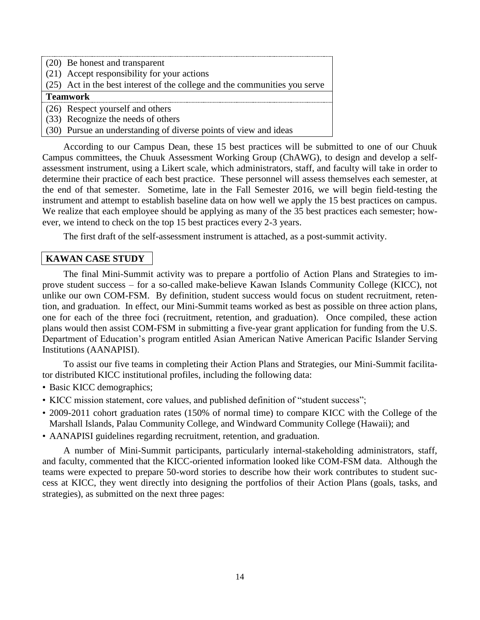| $(20)$ Be honest and transparent                                                   |
|------------------------------------------------------------------------------------|
| (21) Accept responsibility for your actions                                        |
| $\vert$ (25) Act in the best interest of the college and the communities you serve |
| <b>Teamwork</b>                                                                    |
| $(26)$ Respect yourself and others                                                 |
| $(33)$ Recognize the needs of others                                               |
| (30) Pursue an understanding of diverse points of view and ideas                   |

According to our Campus Dean, these 15 best practices will be submitted to one of our Chuuk Campus committees, the Chuuk Assessment Working Group (ChAWG), to design and develop a selfassessment instrument, using a Likert scale, which administrators, staff, and faculty will take in order to determine their practice of each best practice. These personnel will assess themselves each semester, at the end of that semester. Sometime, late in the Fall Semester 2016, we will begin field-testing the instrument and attempt to establish baseline data on how well we apply the 15 best practices on campus. We realize that each employee should be applying as many of the 35 best practices each semester; however, we intend to check on the top 15 best practices every 2-3 years.

The first draft of the self-assessment instrument is attached, as a post-summit activity.

# **KAWAN CASE STUDY**

The final Mini-Summit activity was to prepare a portfolio of Action Plans and Strategies to improve student success – for a so-called make-believe Kawan Islands Community College (KICC), not unlike our own COM-FSM. By definition, student success would focus on student recruitment, retention, and graduation. In effect, our Mini-Summit teams worked as best as possible on three action plans, one for each of the three foci (recruitment, retention, and graduation). Once compiled, these action plans would then assist COM-FSM in submitting a five-year grant application for funding from the U.S. Department of Education's program entitled Asian American Native American Pacific Islander Serving Institutions (AANAPISI).

To assist our five teams in completing their Action Plans and Strategies, our Mini-Summit facilitator distributed KICC institutional profiles, including the following data:

- Basic KICC demographics;
- KICC mission statement, core values, and published definition of "student success";
- 2009-2011 cohort graduation rates (150% of normal time) to compare KICC with the College of the Marshall Islands, Palau Community College, and Windward Community College (Hawaii); and
- AANAPISI guidelines regarding recruitment, retention, and graduation.

A number of Mini-Summit participants, particularly internal-stakeholding administrators, staff, and faculty, commented that the KICC-oriented information looked like COM-FSM data. Although the teams were expected to prepare 50-word stories to describe how their work contributes to student success at KICC, they went directly into designing the portfolios of their Action Plans (goals, tasks, and strategies), as submitted on the next three pages: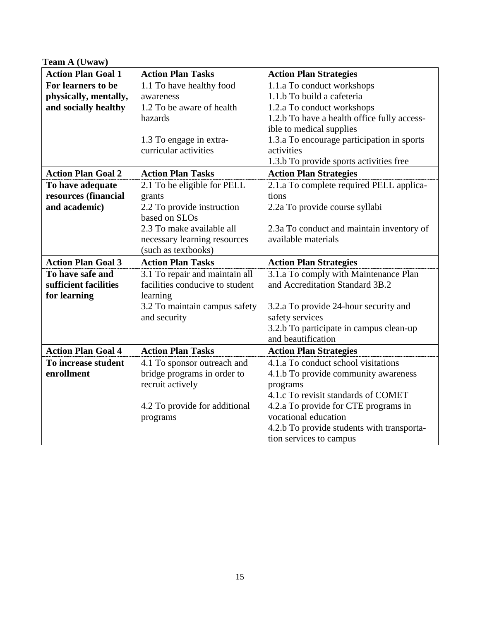| Team A (Uwaw)             |                                 |                                                                       |  |  |  |
|---------------------------|---------------------------------|-----------------------------------------------------------------------|--|--|--|
| <b>Action Plan Goal 1</b> | <b>Action Plan Tasks</b>        | <b>Action Plan Strategies</b>                                         |  |  |  |
| For learners to be        | 1.1 To have healthy food        | 1.1.a To conduct workshops                                            |  |  |  |
| physically, mentally,     | awareness                       | 1.1.b To build a cafeteria                                            |  |  |  |
| and socially healthy      | 1.2 To be aware of health       | 1.2.a To conduct workshops                                            |  |  |  |
|                           | hazards                         | 1.2.b To have a health office fully access-                           |  |  |  |
|                           |                                 | ible to medical supplies                                              |  |  |  |
|                           | 1.3 To engage in extra-         | 1.3.a To encourage participation in sports                            |  |  |  |
|                           | curricular activities           | activities                                                            |  |  |  |
|                           |                                 | 1.3.b To provide sports activities free                               |  |  |  |
| <b>Action Plan Goal 2</b> | <b>Action Plan Tasks</b>        | <b>Action Plan Strategies</b>                                         |  |  |  |
| To have adequate          | 2.1 To be eligible for PELL     | 2.1.a To complete required PELL applica-                              |  |  |  |
| resources (financial      | grants                          | tions                                                                 |  |  |  |
| and academic)             | 2.2 To provide instruction      | 2.2a To provide course syllabi                                        |  |  |  |
|                           | based on SLOs                   |                                                                       |  |  |  |
|                           | 2.3 To make available all       | 2.3a To conduct and maintain inventory of                             |  |  |  |
|                           | necessary learning resources    | available materials                                                   |  |  |  |
|                           | (such as textbooks)             |                                                                       |  |  |  |
| <b>Action Plan Goal 3</b> | <b>Action Plan Tasks</b>        | <b>Action Plan Strategies</b>                                         |  |  |  |
| To have safe and          | 3.1 To repair and maintain all  | 3.1.a To comply with Maintenance Plan                                 |  |  |  |
| sufficient facilities     | facilities conducive to student | and Accreditation Standard 3B.2                                       |  |  |  |
| for learning              | learning                        |                                                                       |  |  |  |
|                           |                                 |                                                                       |  |  |  |
|                           | 3.2 To maintain campus safety   | 3.2.a To provide 24-hour security and                                 |  |  |  |
|                           | and security                    | safety services                                                       |  |  |  |
|                           |                                 | 3.2.b To participate in campus clean-up                               |  |  |  |
|                           |                                 | and beautification                                                    |  |  |  |
| <b>Action Plan Goal 4</b> | <b>Action Plan Tasks</b>        | <b>Action Plan Strategies</b>                                         |  |  |  |
| To increase student       | 4.1 To sponsor outreach and     | 4.1.a To conduct school visitations                                   |  |  |  |
| enrollment                | bridge programs in order to     | 4.1.b To provide community awareness                                  |  |  |  |
|                           | recruit actively                | programs                                                              |  |  |  |
|                           |                                 | 4.1. C To revisit standards of COMET                                  |  |  |  |
|                           | 4.2 To provide for additional   | 4.2.a To provide for CTE programs in                                  |  |  |  |
|                           | programs                        | vocational education                                                  |  |  |  |
|                           |                                 | 4.2.b To provide students with transporta-<br>tion services to campus |  |  |  |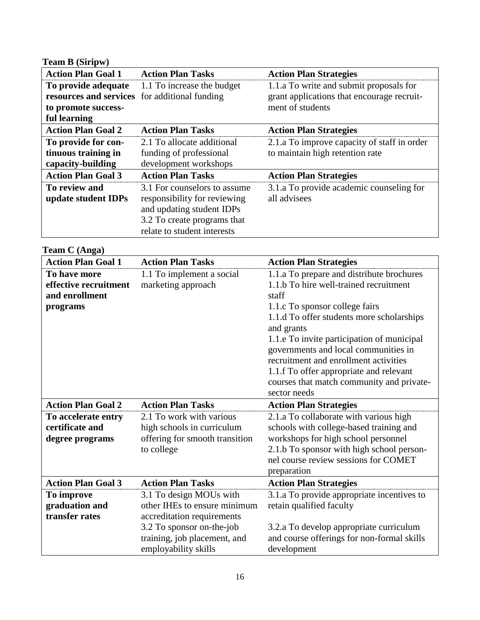| <b>Team B (Siripw)</b>                        |                              |                                             |  |  |  |  |
|-----------------------------------------------|------------------------------|---------------------------------------------|--|--|--|--|
| <b>Action Plan Goal 1</b>                     | <b>Action Plan Tasks</b>     | <b>Action Plan Strategies</b>               |  |  |  |  |
| To provide adequate                           | 1.1 To increase the budget   | 1.1.a To write and submit proposals for     |  |  |  |  |
| resources and services for additional funding |                              | grant applications that encourage recruit-  |  |  |  |  |
| to promote success-                           |                              | ment of students                            |  |  |  |  |
| ful learning                                  |                              |                                             |  |  |  |  |
| <b>Action Plan Goal 2</b>                     | <b>Action Plan Tasks</b>     | <b>Action Plan Strategies</b>               |  |  |  |  |
| To provide for con-                           | 2.1 To allocate additional   | 2.1.a To improve capacity of staff in order |  |  |  |  |
| tinuous training in                           | funding of professional      | to maintain high retention rate             |  |  |  |  |
| capacity-building                             | development workshops        |                                             |  |  |  |  |
| <b>Action Plan Goal 3</b>                     | <b>Action Plan Tasks</b>     | <b>Action Plan Strategies</b>               |  |  |  |  |
| To review and                                 | 3.1 For counselors to assume | 3.1.a To provide academic counseling for    |  |  |  |  |
| update student IDPs                           | responsibility for reviewing | all advisees                                |  |  |  |  |
|                                               | and updating student IDPs    |                                             |  |  |  |  |
|                                               | 3.2 To create programs that  |                                             |  |  |  |  |
|                                               | relate to student interests  |                                             |  |  |  |  |

#### **Team C (Anga)**

| <b>Action Plan Goal 1</b>                                           | <b>Action Plan Tasks</b>                                                                               | <b>Action Plan Strategies</b>                                                                                                                                                                                                                                                                                                                                                                                                      |
|---------------------------------------------------------------------|--------------------------------------------------------------------------------------------------------|------------------------------------------------------------------------------------------------------------------------------------------------------------------------------------------------------------------------------------------------------------------------------------------------------------------------------------------------------------------------------------------------------------------------------------|
| To have more<br>effective recruitment<br>and enrollment<br>programs | 1.1 To implement a social<br>marketing approach                                                        | 1.1.a To prepare and distribute brochures<br>1.1.b To hire well-trained recruitment<br>staff<br>1.1. C To sponsor college fairs<br>1.1.d To offer students more scholarships<br>and grants<br>1.1. e To invite participation of municipal<br>governments and local communities in<br>recruitment and enrollment activities<br>1.1.f To offer appropriate and relevant<br>courses that match community and private-<br>sector needs |
| <b>Action Plan Goal 2</b>                                           | <b>Action Plan Tasks</b>                                                                               | <b>Action Plan Strategies</b>                                                                                                                                                                                                                                                                                                                                                                                                      |
| To accelerate entry<br>certificate and<br>degree programs           | 2.1 To work with various<br>high schools in curriculum<br>offering for smooth transition<br>to college | 2.1.a To collaborate with various high<br>schools with college-based training and<br>workshops for high school personnel<br>2.1.b To sponsor with high school person-<br>nel course review sessions for COMET<br>preparation                                                                                                                                                                                                       |
| <b>Action Plan Goal 3</b>                                           | <b>Action Plan Tasks</b>                                                                               | <b>Action Plan Strategies</b>                                                                                                                                                                                                                                                                                                                                                                                                      |
| To improve<br>graduation and<br>transfer rates                      | 3.1 To design MOUs with<br>other IHEs to ensure minimum<br>accreditation requirements                  | 3.1.a To provide appropriate incentives to<br>retain qualified faculty                                                                                                                                                                                                                                                                                                                                                             |
|                                                                     | 3.2 To sponsor on-the-job<br>training, job placement, and<br>employability skills                      | 3.2.a To develop appropriate curriculum<br>and course offerings for non-formal skills<br>development                                                                                                                                                                                                                                                                                                                               |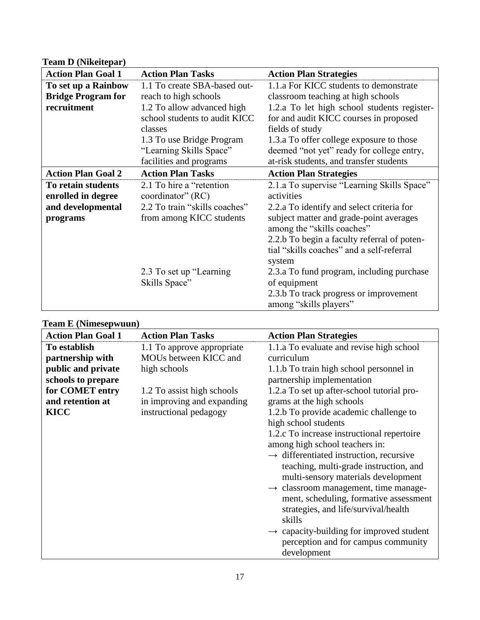| <b>Team D (Nikeitepar)</b> |                               |                                             |  |  |  |  |
|----------------------------|-------------------------------|---------------------------------------------|--|--|--|--|
| <b>Action Plan Goal 1</b>  | <b>Action Plan Tasks</b>      | <b>Action Plan Strategies</b>               |  |  |  |  |
| To set up a Rainbow        | 1.1 To create SBA-based out-  | 1.1.a For KICC students to demonstrate      |  |  |  |  |
| <b>Bridge Program for</b>  | reach to high schools         | classroom teaching at high schools          |  |  |  |  |
| recruitment                | 1.2 To allow advanced high    | 1.2.a To let high school students register- |  |  |  |  |
|                            | school students to audit KICC | for and audit KICC courses in proposed      |  |  |  |  |
|                            | classes                       | fields of study                             |  |  |  |  |
|                            | 1.3 To use Bridge Program     | 1.3.a To offer college exposure to those    |  |  |  |  |
|                            | "Learning Skills Space"       | deemed "not yet" ready for college entry,   |  |  |  |  |
|                            | facilities and programs       | at-risk students, and transfer students     |  |  |  |  |
| <b>Action Plan Goal 2</b>  | <b>Action Plan Tasks</b>      | <b>Action Plan Strategies</b>               |  |  |  |  |
| To retain students         | 2.1 To hire a "retention"     | 2.1.a To supervise "Learning Skills Space"  |  |  |  |  |
| enrolled in degree         | coordinator" (RC)             | activities                                  |  |  |  |  |
| and developmental          | 2.2 To train "skills coaches" | 2.2.a To identify and select criteria for   |  |  |  |  |
| programs                   | from among KICC students      | subject matter and grade-point averages     |  |  |  |  |
|                            |                               | among the "skills coaches"                  |  |  |  |  |
|                            |                               | 2.2.b To begin a faculty referral of poten- |  |  |  |  |
|                            |                               | tial "skills coaches" and a self-referral   |  |  |  |  |
|                            |                               | system                                      |  |  |  |  |
|                            | 2.3 To set up "Learning"      | 2.3.a To fund program, including purchase   |  |  |  |  |
|                            | Skills Space"                 | of equipment                                |  |  |  |  |
|                            |                               | 2.3.b To track progress or improvement      |  |  |  |  |
|                            |                               | among "skills players"                      |  |  |  |  |

# **Team E (Nimesepwuun)**

| <b>Action Plan Goal 1</b> | <b>Action Plan Tasks</b>   | <b>Action Plan Strategies</b>                        |  |  |  |  |
|---------------------------|----------------------------|------------------------------------------------------|--|--|--|--|
| To establish              | 1.1 To approve appropriate | 1.1.a To evaluate and revise high school             |  |  |  |  |
| partnership with          | MOUs between KICC and      | curriculum                                           |  |  |  |  |
| public and private        | high schools               | 1.1.b To train high school personnel in              |  |  |  |  |
| schools to prepare        |                            | partnership implementation                           |  |  |  |  |
| for COMET entry           | 1.2 To assist high schools | 1.2.a To set up after-school tutorial pro-           |  |  |  |  |
| and retention at          | in improving and expanding | grams at the high schools                            |  |  |  |  |
| <b>KICC</b>               | instructional pedagogy     | 1.2.b To provide academic challenge to               |  |  |  |  |
|                           |                            | high school students                                 |  |  |  |  |
|                           |                            | 1.2. CTo increase instructional repertoire           |  |  |  |  |
|                           |                            | among high school teachers in:                       |  |  |  |  |
|                           |                            | $\rightarrow$ differentiated instruction, recursive  |  |  |  |  |
|                           |                            | teaching, multi-grade instruction, and               |  |  |  |  |
|                           |                            | multi-sensory materials development                  |  |  |  |  |
|                           |                            | $\rightarrow$ classroom management, time manage-     |  |  |  |  |
|                           |                            | ment, scheduling, formative assessment               |  |  |  |  |
|                           |                            | strategies, and life/survival/health                 |  |  |  |  |
|                           |                            | skills                                               |  |  |  |  |
|                           |                            | $\rightarrow$ capacity-building for improved student |  |  |  |  |
|                           |                            | perception and for campus community                  |  |  |  |  |
|                           |                            | development                                          |  |  |  |  |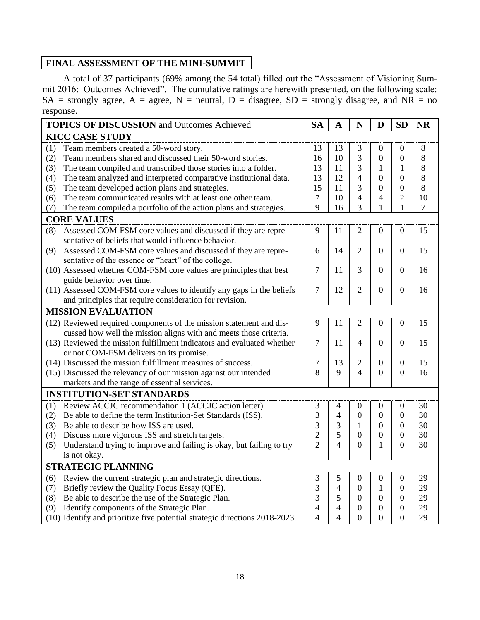### **FINAL ASSESSMENT OF THE MINI-SUMMIT**

A total of 37 participants (69% among the 54 total) filled out the "Assessment of Visioning Summit 2016: Outcomes Achieved". The cumulative ratings are herewith presented, on the following scale:  $SA =$  strongly agree,  $A =$  agree,  $N =$  neutral,  $D =$  disagree,  $SD =$  strongly disagree, and  $NR =$  no response.

|                        | <b>TOPICS OF DISCUSSION</b> and Outcomes Achieved                           | <b>SA</b>      | $\mathbf A$              | N                | D                        | <b>SD</b>        | NR      |
|------------------------|-----------------------------------------------------------------------------|----------------|--------------------------|------------------|--------------------------|------------------|---------|
| <b>KICC CASE STUDY</b> |                                                                             |                |                          |                  |                          |                  |         |
| (1)                    | Team members created a 50-word story.                                       | 13             | 13                       | 3                | $\overline{0}$           | $\Omega$         | 8       |
| (2)                    | Team members shared and discussed their 50-word stories.                    | 16             | 10                       | 3                | $\boldsymbol{0}$         | $\overline{0}$   | $8\,$   |
| (3)                    | The team compiled and transcribed those stories into a folder.              | 13             | 11                       | 3                | 1                        | 1                | 8       |
| (4)                    | The team analyzed and interpreted comparative institutional data.           | 13             | 12                       | 4                | $\overline{0}$           | $\theta$         | 8       |
| (5)                    | The team developed action plans and strategies.                             | 15             | 11                       | 3                | $\theta$                 | $\overline{0}$   | $\,8\,$ |
| (6)                    | The team communicated results with at least one other team.                 | $\overline{7}$ | 10                       | $\overline{4}$   | $\overline{\mathcal{L}}$ | $\overline{2}$   | 10      |
| (7)                    | The team compiled a portfolio of the action plans and strategies.           | 9              | 16                       | 3                | 1                        | $\mathbf{1}$     | $\tau$  |
|                        | <b>CORE VALUES</b>                                                          |                |                          |                  |                          |                  |         |
| (8)                    | Assessed COM-FSM core values and discussed if they are repre-               | 9              | 11                       | $\overline{2}$   | $\boldsymbol{0}$         | $\boldsymbol{0}$ | 15      |
|                        | sentative of beliefs that would influence behavior.                         |                |                          |                  |                          |                  |         |
| (9)                    | Assessed COM-FSM core values and discussed if they are repre-               | 6              | 14                       | $\overline{2}$   | $\Omega$                 | $\boldsymbol{0}$ | 15      |
|                        | sentative of the essence or "heart" of the college.                         |                |                          |                  |                          |                  |         |
|                        | (10) Assessed whether COM-FSM core values are principles that best          | 7              | 11                       | 3                | $\overline{0}$           | $\overline{0}$   | 16      |
|                        | guide behavior over time.                                                   |                |                          |                  |                          |                  |         |
|                        | (11) Assessed COM-FSM core values to identify any gaps in the beliefs       | $\tau$         | 12                       | $\overline{2}$   | $\boldsymbol{0}$         | $\overline{0}$   | 16      |
|                        | and principles that require consideration for revision.                     |                |                          |                  |                          |                  |         |
|                        | <b>MISSION EVALUATION</b>                                                   |                |                          |                  |                          |                  |         |
|                        | (12) Reviewed required components of the mission statement and dis-         | 9              | 11                       | $\overline{c}$   | $\boldsymbol{0}$         | $\boldsymbol{0}$ | 15      |
|                        | cussed how well the mission aligns with and meets those criteria.           |                |                          |                  |                          |                  |         |
|                        | (13) Reviewed the mission fulfillment indicators and evaluated whether      | 7              | 11                       | 4                | $\Omega$                 | $\boldsymbol{0}$ | 15      |
|                        | or not COM-FSM delivers on its promise.                                     |                |                          |                  |                          |                  |         |
|                        | (14) Discussed the mission fulfillment measures of success.                 | 7              | 13                       | 2                | $\overline{0}$           | $\boldsymbol{0}$ | 15      |
|                        | (15) Discussed the relevancy of our mission against our intended            | 8              | 9                        | 4                | $\overline{0}$           | $\overline{0}$   | 16      |
|                        | markets and the range of essential services.                                |                |                          |                  |                          |                  |         |
|                        | <b>INSTITUTION-SET STANDARDS</b>                                            |                |                          |                  |                          |                  |         |
| (1)                    | Review ACCJC recommendation 1 (ACCJC action letter).                        | 3              | 4                        | $\boldsymbol{0}$ | $\boldsymbol{0}$         | $\mathbf{0}$     | 30      |
| (2)                    | Be able to define the term Institution-Set Standards (ISS).                 | 3              | $\overline{4}$           | $\overline{0}$   | $\overline{0}$           | $\overline{0}$   | 30      |
| (3)                    | Be able to describe how ISS are used.                                       | 3              | 3                        | $\mathbf{1}$     | $\overline{0}$           | $\boldsymbol{0}$ | 30      |
| (4)                    | Discuss more vigorous ISS and stretch targets.                              | $\overline{2}$ | 5                        | $\overline{0}$   | $\Omega$                 | $\Omega$         | 30      |
| (5)                    | Understand trying to improve and failing is okay, but failing to try        | $\overline{2}$ | $\overline{\mathcal{A}}$ | $\overline{0}$   | 1                        | $\boldsymbol{0}$ | 30      |
|                        | is not okay.                                                                |                |                          |                  |                          |                  |         |
|                        | <b>STRATEGIC PLANNING</b>                                                   |                |                          |                  |                          |                  |         |
| (6)                    | Review the current strategic plan and strategic directions.                 | 3              | 5                        | $\overline{0}$   | $\boldsymbol{0}$         | $\mathbf{0}$     | 29      |
| (7)                    | Briefly review the Quality Focus Essay (QFE).                               | 3              | $\overline{4}$           | $\boldsymbol{0}$ | 1                        | $\overline{0}$   | 29      |
| (8)                    | Be able to describe the use of the Strategic Plan.                          | 3              | 5                        | $\mathbf{0}$     | $\mathbf{0}$             | $\mathbf{0}$     | 29      |
| (9)                    | Identify components of the Strategic Plan.                                  | 4              | 4                        | $\theta$         | $\Omega$                 | $\Omega$         | 29      |
|                        | (10) Identify and prioritize five potential strategic directions 2018-2023. | $\overline{4}$ | 4                        | $\overline{0}$   | $\boldsymbol{0}$         | $\boldsymbol{0}$ | 29      |